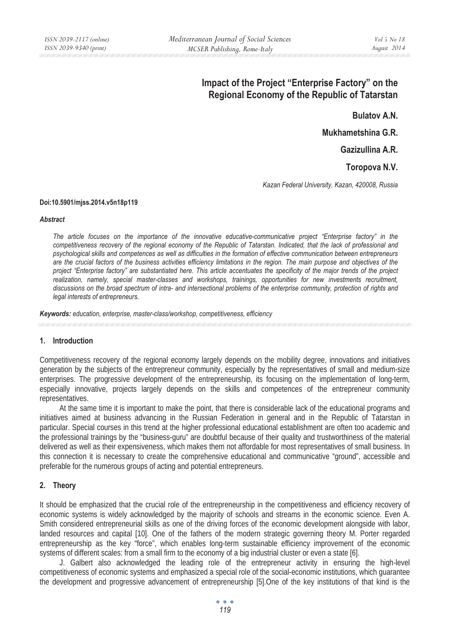# **Impact of the Project "Enterprise Factory" on the Regional Economy of the Republic of Tatarstan**

**Bulatov A.N.** 

**Mukhametshina G.R.** 

**Gazizullina A.R.** 

**Toropova N.V.** 

*Kazan Federal University, Kazan, 420008, Russia* 

#### **Doi:10.5901/mjss.2014.v5n18p119**

#### *Abstract*

*The article focuses on the importance of the innovative educative-communicative project "Enterprise factory" in the competitiveness recovery of the regional economy of the Republic of Tatarstan. Indicated, that the lack of professional and psychological skills and competences as well as difficulties in the formation of effective communication between entrepreneurs are the crucial factors of the business activities efficiency limitations in the region. The main purpose and objectives of the project "Enterprise factory" are substantiated here. This article accentuates the specificity of the major trends of the project realization, namely, special master-classes and workshops, trainings, opportunities for new investments recruitment, discussions on the broad spectrum of intra- and intersectional problems of the enterprise community, protection of rights and legal interests of entrepreneurs.* 

*Keywords: education, enterprise, master-class/workshop, competitiveness, efficiency* 

### **1. Introduction**

Competitiveness recovery of the regional economy largely depends on the mobility degree, innovations and initiatives generation by the subjects of the entrepreneur community, especially by the representatives of small and medium-size enterprises. The progressive development of the entrepreneurship, its focusing on the implementation of long-term, especially innovative, projects largely depends on the skills and competences of the entrepreneur community representatives.

At the same time it is important to make the point, that there is considerable lack of the educational programs and initiatives aimed at business advancing in the Russian Federation in general and in the Republic of Tatarstan in particular. Special courses in this trend at the higher professional educational establishment are often too academic and the professional trainings by the "business-guru" are doubtful because of their quality and trustworthiness of the material delivered as well as their expensiveness, which makes them not affordable for most representatives of small business. In this connection it is necessary to create the comprehensive educational and communicative "ground", accessible and preferable for the numerous groups of acting and potential entrepreneurs.

### **2. Theory**

It should be emphasized that the crucial role of the entrepreneurship in the competitiveness and efficiency recovery of economic systems is widely acknowledged by the majority of schools and streams in the economic science. Even A. Smith considered entrepreneurial skills as one of the driving forces of the economic development alongside with labor, landed resources and capital [10]. One of the fathers of the modern strategic governing theory M. Porter regarded entrepreneurship as the key "force", which enables long-term sustainable efficiency improvement of the economic systems of different scales: from a small firm to the economy of a big industrial cluster or even a state [6].

J. Galbert also acknowledged the leading role of the entrepreneur activity in ensuring the high-level competitiveness of economic systems and emphasized a special role of the social-economic institutions, which guarantee the development and progressive advancement of entrepreneurship [5].One of the key institutions of that kind is the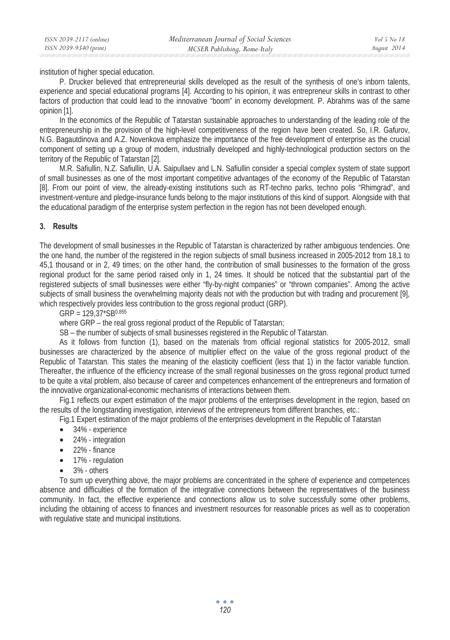institution of higher special education.

P. Drucker believed that entrepreneurial skills developed as the result of the synthesis of one's inborn talents, experience and special educational programs [4]. According to his opinion, it was entrepreneur skills in contrast to other factors of production that could lead to the innovative "boom" in economy development. P. Abrahms was of the same opinion [1].

In the economics of the Republic of Tatarstan sustainable approaches to understanding of the leading role of the entrepreneurship in the provision of the high-level competitiveness of the region have been created. So, I.R. Gafurov, N.G. Bagautdinova and A.Z. Novenkova emphasize the importance of the free development of enterprise as the crucial component of setting up a group of modern, industrially developed and highly-technological production sectors on the territory of the Republic of Tatarstan [2].

M.R. Safiullin, N.Z. Safiullin, U.A. Saipullaev and L.N. Safiullin consider a special complex system of state support of small businesses as one of the most important competitive advantages of the economy of the Republic of Tatarstan [8]. From our point of view, the already-existing institutions such as RT-techno parks, techno polis "Rhimgrad", and investment-venture and pledge-insurance funds belong to the major institutions of this kind of support. Alongside with that the educational paradigm of the enterprise system perfection in the region has not been developed enough.

# **3. Results**

The development of small businesses in the Republic of Tatarstan is characterized by rather ambiguous tendencies. One the one hand, the number of the registered in the region subjects of small business increased in 2005-2012 from 18,1 to 45,1 thousand or in 2, 49 times; on the other hand, the contribution of small businesses to the formation of the gross regional product for the same period raised only in 1, 24 times. It should be noticed that the substantial part of the registered subjects of small businesses were either "fly-by-night companies" or "thrown companies". Among the active subjects of small business the overwhelming majority deals not with the production but with trading and procurement [9], which respectively provides less contribution to the gross regional product (GRP).

 $GRP = 129.37*SB^{0.855}$ 

where GRP – the real gross regional product of the Republic of Tatarstan;

SB – the number of subjects of small businesses registered in the Republic of Tatarstan.

As it follows from function (1), based on the materials from official regional statistics for 2005-2012, small businesses are characterized by the absence of multiplier effect on the value of the gross regional product of the Republic of Tatarstan. This states the meaning of the elasticity coefficient (less that 1) in the factor variable function. Thereafter, the influence of the efficiency increase of the small regional businesses on the gross regional product turned to be quite a vital problem, also because of career and competences enhancement of the entrepreneurs and formation of the innovative organizational-economic mechanisms of interactions between them.

Fig.1 reflects our expert estimation of the major problems of the enterprises development in the region, based on the results of the longstanding investigation, interviews of the entrepreneurs from different branches, etc.:

Fig.1 Expert estimation of the major problems of the enterprises development in the Republic of Tatarstan

- 34% experience
- 24% integration
- 22% finance
- 17% regulation
- 3% others

To sum up everything above, the major problems are concentrated in the sphere of experience and competences absence and difficulties of the formation of the integrative connections between the representatives of the business community. In fact, the effective experience and connections allow us to solve successfully some other problems, including the obtaining of access to finances and investment resources for reasonable prices as well as to cooperation with regulative state and municipal institutions.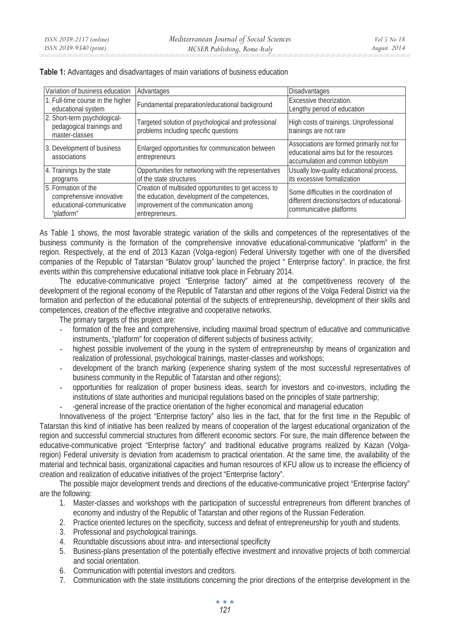| Variation of business education                                                            | Advantages                                                                                                                                                          | <b>Disadvantages</b>                                                                                                    |  |
|--------------------------------------------------------------------------------------------|---------------------------------------------------------------------------------------------------------------------------------------------------------------------|-------------------------------------------------------------------------------------------------------------------------|--|
| 1. Full-time course in the higher<br>educational system                                    | Fundamental preparation/educational background                                                                                                                      | Excessive theorization.<br>Lengthy period of education                                                                  |  |
| 2. Short-term psychological-<br>pedagogical trainings and<br>master-classes                | Targeted solution of psychological and professional<br>problems including specific questions                                                                        | High costs of trainings. Unprofessional<br>trainings are not rare                                                       |  |
| 3. Development of business<br>associations                                                 | Enlarged opportunities for communication between<br>entrepreneurs                                                                                                   | Associations are formed primarily not for<br>educational aims but for the resources<br>accumulation and common lobbyism |  |
| 4. Trainings by the state<br>programs                                                      | Opportunities for networking with the representatives<br>of the state structures                                                                                    | Usually low-quality educational process,<br>its excessive formalization                                                 |  |
| 5. Formation of the<br>comprehensive innovative<br>educational-communicative<br>"platform" | Creation of multisided opportunities to get access to<br>the education, development of the competences,<br>improvement of the communication among<br>entrepreneurs. | Some difficulties in the coordination of<br>different directions/sectors of educational-<br>communicative platforms     |  |

**Table 1:** Advantages and disadvantages of main variations of business education

As Table 1 shows, the most favorable strategic variation of the skills and competences of the representatives of the business community is the formation of the comprehensive innovative educational-communicative "platform" in the region. Respectively, at the end of 2013 Kazan (Volga-region) Federal University together with one of the diversified companies of the Republic of Tatarstan "Bulatov group" launched the project " Enterprise factory". In practice, the first events within this comprehensive educational initiative took place in February 2014.

The educative-communicative project "Enterprise factory" aimed at the competitiveness recovery of the development of the regional economy of the Republic of Tatarstan and other regions of the Volga Federal District via the formation and perfection of the educational potential of the subjects of entrepreneurship, development of their skills and competences, creation of the effective integrative and cooperative networks.

The primary targets of this project are:

- formation of the free and comprehensive, including maximal broad spectrum of educative and communicative instruments, "platform" for cooperation of different subjects of business activity;
- highest possible involvement of the young in the system of entrepreneurship by means of organization and realization of professional, psychological trainings, master-classes and workshops;
- development of the branch marking (experience sharing system of the most successful representatives of business community in the Republic of Tatarstan and other regions);
- opportunities for realization of proper business ideas, search for investors and co-investors, including the institutions of state authorities and municipal regulations based on the principles of state partnership;
- -general increase of the practice orientation of the higher economical and managerial education

Innovativeness of the project "Enterprise factory" also lies in the fact, that for the first time in the Republic of Tatarstan this kind of initiative has been realized by means of cooperation of the largest educational organization of the region and successful commercial structures from different economic sectors. For sure, the main difference between the educative-communicative project "Enterprise factory" and traditional educative programs realized by Kazan (Volgaregion) Federal university is deviation from academism to practical orientation. At the same time, the availability of the material and technical basis, organizational capacities and human resources of KFU allow us to increase the efficiency of creation and realization of educative initiatives of the project "Enterprise factory".

The possible major development trends and directions of the educative-communicative project "Enterprise factory" are the following:

- 1. Master-classes and workshops with the participation of successful entrepreneurs from different branches of economy and industry of the Republic of Tatarstan and other regions of the Russian Federation.
- 2. Practice oriented lectures on the specificity, success and defeat of entrepreneurship for youth and students.
- 3. Professional and psychological trainings.
- 4. Roundtable discussions about intra- and intersectional specificity
- 5. Business-plans presentation of the potentially effective investment and innovative projects of both commercial and social orientation.
- 6. Communication with potential investors and creditors.
- 7. Communication with the state institutions concerning the prior directions of the enterprise development in the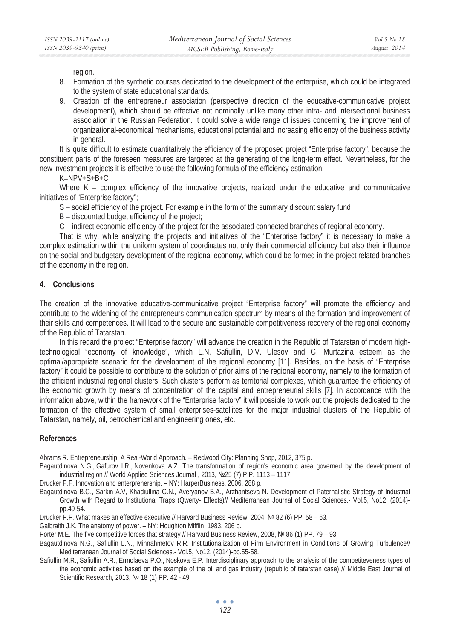region.

- 8. Formation of the synthetic courses dedicated to the development of the enterprise, which could be integrated to the system of state educational standards.
- 9. Creation of the entrepreneur association (perspective direction of the educative-communicative project development), which should be effective not nominally unlike many other intra- and intersectional business association in the Russian Federation. It could solve a wide range of issues concerning the improvement of organizational-economical mechanisms, educational potential and increasing efficiency of the business activity in general.

It is quite difficult to estimate quantitatively the efficiency of the proposed project "Enterprise factory", because the constituent parts of the foreseen measures are targeted at the generating of the long-term effect. Nevertheless, for the new investment projects it is effective to use the following formula of the efficiency estimation:

 $K=NPV+S+B+C$ 

Where K – complex efficiency of the innovative projects, realized under the educative and communicative initiatives of "Enterprise factory";

S – social efficiency of the project. For example in the form of the summary discount salary fund

B – discounted budget efficiency of the project;

C – indirect economic efficiency of the project for the associated connected branches of regional economy.

That is why, while analyzing the projects and initiatives of the "Enterprise factory" it is necessary to make a complex estimation within the uniform system of coordinates not only their commercial efficiency but also their influence on the social and budgetary development of the regional economy, which could be formed in the project related branches of the economy in the region.

# **4. Conclusions**

The creation of the innovative educative-communicative project "Enterprise factory" will promote the efficiency and contribute to the widening of the entrepreneurs communication spectrum by means of the formation and improvement of their skills and competences. It will lead to the secure and sustainable competitiveness recovery of the regional economy of the Republic of Tatarstan.

In this regard the project "Enterprise factory" will advance the creation in the Republic of Tatarstan of modern hightechnological "economy of knowledge", which L.N. Safiullin, D.V. Ulesov and G. Murtazina esteem as the optimal/appropriate scenario for the development of the regional economy [11]. Besides, on the basis of "Enterprise factory" it could be possible to contribute to the solution of prior aims of the regional economy, namely to the formation of the efficient industrial regional clusters. Such clusters perform as territorial complexes, which guarantee the efficiency of the economic growth by means of concentration of the capital and entrepreneurial skills [7]. In accordance with the information above, within the framework of the "Enterprise factory" it will possible to work out the projects dedicated to the formation of the effective system of small enterprises-satellites for the major industrial clusters of the Republic of Tatarstan, namely, oil, petrochemical and engineering ones, etc.

### **References**

Abrams R. Entrepreneurship: A Real-World Approach. – Redwood City: Planning Shop, 2012, 375 p.

Bagautdinova N.G., Gafurov I.R., Novenkova A.Z. The transformation of region's economic area governed by the development of industrial region // World Applied Sciences Journal, 2013, Nº25 (7) P.P. 1113 - 1117.

Drucker P.F. Innovation and enterprenership. – NY: HarperBusiness, 2006, 288 p.

Bagautdinova B.G., Sarkin A.V, Khadiullina G.N., Averyanov B.A., Arzhantseva N. Development of Paternalistic Strategy of Industrial Growth with Regard to Institutional Traps (Qwerty- Effects)// Mediterranean Journal of Social Sciences.- Vol.5, No12, (2014) pp.49-54.

Drucker P.F. What makes an effective executive // Harvard Business Review, 2004, № 82 (6) PP. 58 – 63.

Galbraith J.K. The anatomy of power. – NY: Houghton Mifflin, 1983, 206 p.

Porter M.E. The five competitive forces that strategy // Harvard Business Review, 2008, № 86 (1) PP. 79 – 93.

Bagautdinova N.G., Safiullin L.N., Minnahmetov R.R. Institutionalization of Firm Environment in Conditions of Growing Turbulence// Mediterranean Journal of Social Sciences.- Vol.5, No12, (2014)-pp.55-58.

Safiullin M.R., Safiullin A.R., Ermolaeva P.O., Noskova E.P. Interdisciplinary approach to the analysis of the competiteveness types of the economic activities based on the example of the oil and gas industry (republic of tatarstan case) // Middle East Journal of Scientific Research, 2013, № 18 (1) PP. 42 - 49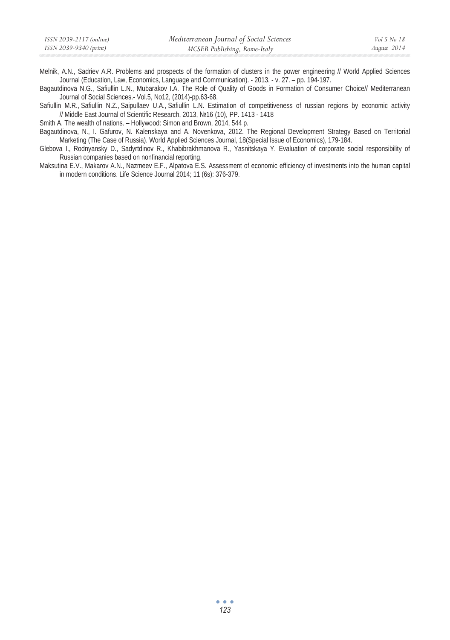| ISSN 2039-9340 (print)<br>August 2014<br>MCSER Publishing, Rome-Italy | ISSN 2039-2117 (online) | Mediterranean Journal of Social Sciences | Vol 5 No 18 |
|-----------------------------------------------------------------------|-------------------------|------------------------------------------|-------------|
|                                                                       |                         |                                          |             |

Melnik, A.N., Sadriev A.R. Problems and prospects of the formation of clusters in the power engineering // World Applied Sciences Journal (Education, Law, Economics, Language and Communication). - 2013. - v. 27. – pp. 194-197.

Bagautdinova N.G., Safiullin L.N., Mubarakov I.A. The Role of Quality of Goods in Formation of Consumer Choice// Mediterranean Journal of Social Sciences.- Vol.5, No12, (2014)-pp.63-68.

Safiullin M.R., Safiullin N.Z., Saipullaev U.A., Safiullin L.N. Estimation of competitiveness of russian regions by economic activity // Middle East Journal of Scientific Research, 2013, ʋ16 (10), PP. 1413 - 1418

Smith A. The wealth of nations. – Hollywood: Simon and Brown, 2014, 544 p.

Bagautdinova, N., I. Gafurov, N. Kalenskaya and A. Novenkova, 2012. The Regional Development Strategy Based on Territorial Marketing (The Case of Russia). World Applied Sciences Journal, 18(Special Issue of Economics), 179-184.

Glebova I., Rodnyansky D., Sadyrtdinov R., Khabibrakhmanova R., Yasnitskaya Y. Evaluation of corporate social responsibility of Russian companies based on nonfinancial reporting.

Maksutina E.V., Makarov A.N., Nazmeev E.F., Alpatova E.S. Assessment of economic efficiency of investments into the human capital in modern conditions. Life Science Journal 2014; 11 (6s): 376-379.